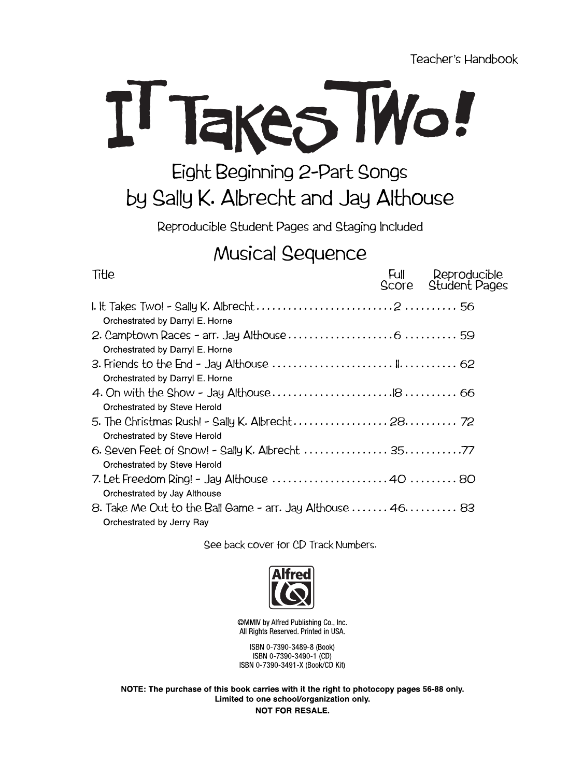Teacher's Handbook



## Eight Beginning 2-Part Songs by Sally K. Albrecht and Jay Althouse

Reproducible Student Pages and Staging Included

## **Musical Sequence**

| Title                                                                                   | Full<br>Score | Reproducible<br><b>Student Pages</b> |
|-----------------------------------------------------------------------------------------|---------------|--------------------------------------|
|                                                                                         |               |                                      |
| Orchestrated by Darryl E. Horne                                                         |               |                                      |
| Orchestrated by Darryl E. Horne                                                         |               |                                      |
| Orchestrated by Darryl E. Horne                                                         |               |                                      |
| Orchestrated by Steve Herold                                                            |               |                                      |
| 5. The Christmas Rush! - Sally K. Albrecht 28 72<br>Orchestrated by Steve Herold        |               |                                      |
| 6. Seven Feet of Snow! - Sally K. Albrecht  3577<br>Orchestrated by Steve Herold        |               |                                      |
| Orchestrated by Jay Althouse                                                            |               |                                      |
| 8. Take Me Out to the Ball Game - arr. Jay Althouse  46 83<br>Orchestrated by Jerry Ray |               |                                      |
|                                                                                         |               |                                      |

See back cover for CD Track Numbers.



©MMIV by Alfred Publishing Co., Inc. All Rights Reserved. Printed in USA.

ISBN 0-7390-3489-8 (Book) ISBN 0-7390-3490-1 (CD) ISBN 0-7390-3491-X (Book/CD Kit)

NOTE: The purchase of this book carries with it the right to photocopy pages 56-88 only. Limited to one school/organization only. **NOT FOR RESALE.**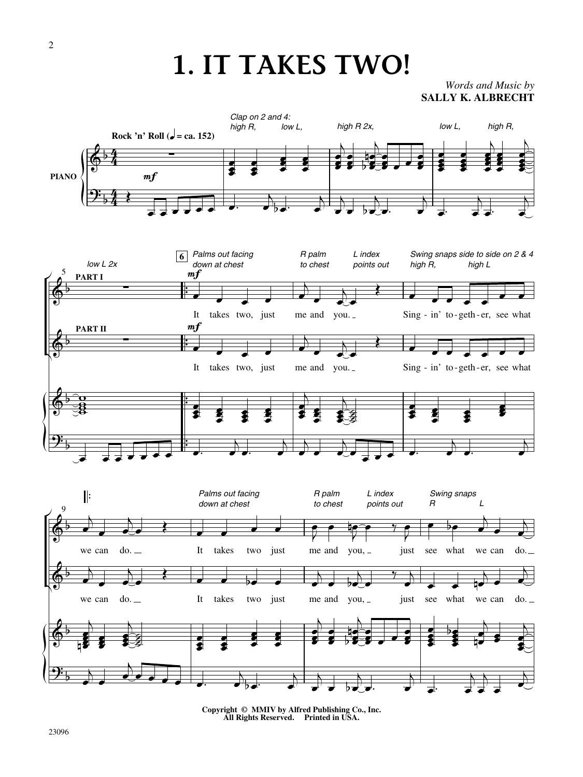## **1. IT TAKES TWO!**

**SALLY K. ALBRECHT** *Words and Music by*



**Copyright © MMIV by Alfred Publishing Co., Inc. All Rights Reserved. Printed in USA.**